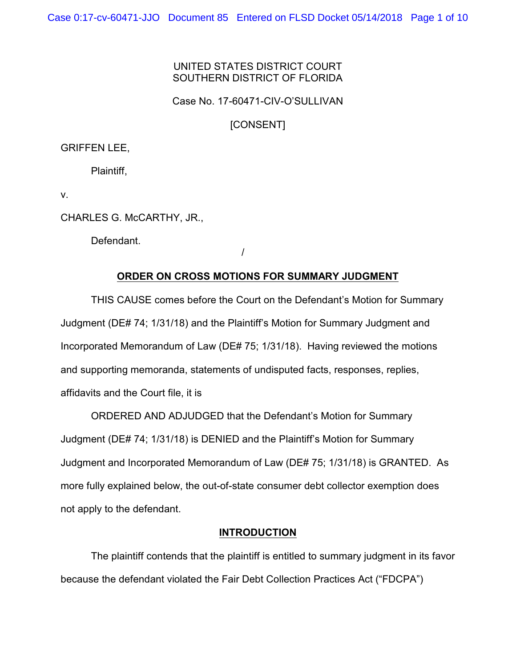## UNITED STATES DISTRICT COURT SOUTHERN DISTRICT OF FLORIDA

Case No. 17-60471-CIV-O'SULLIVAN

[CONSENT]

## GRIFFEN LEE,

Plaintiff,

v.

CHARLES G. McCARTHY, JR.,

Defendant.

/

## **ORDER ON CROSS MOTIONS FOR SUMMARY JUDGMENT**

THIS CAUSE comes before the Court on the Defendant's Motion for Summary Judgment (DE# 74; 1/31/18) and the Plaintiff's Motion for Summary Judgment and Incorporated Memorandum of Law (DE# 75; 1/31/18). Having reviewed the motions and supporting memoranda, statements of undisputed facts, responses, replies, affidavits and the Court file, it is

ORDERED AND ADJUDGED that the Defendant's Motion for Summary Judgment (DE# 74; 1/31/18) is DENIED and the Plaintiff's Motion for Summary Judgment and Incorporated Memorandum of Law (DE# 75; 1/31/18) is GRANTED. As more fully explained below, the out-of-state consumer debt collector exemption does not apply to the defendant.

## **INTRODUCTION**

The plaintiff contends that the plaintiff is entitled to summary judgment in its favor because the defendant violated the Fair Debt Collection Practices Act ("FDCPA")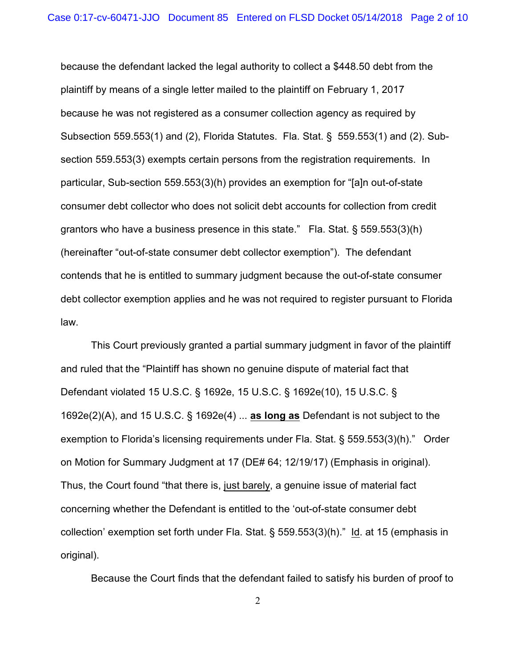because the defendant lacked the legal authority to collect a \$448.50 debt from the plaintiff by means of a single letter mailed to the plaintiff on February 1, 2017 because he was not registered as a consumer collection agency as required by Subsection 559.553(1) and (2), Florida Statutes. Fla. Stat. § 559.553(1) and (2). Subsection 559.553(3) exempts certain persons from the registration requirements. In particular, Sub-section 559.553(3)(h) provides an exemption for "[a]n out-of-state consumer debt collector who does not solicit debt accounts for collection from credit grantors who have a business presence in this state." Fla. Stat. § 559.553(3)(h) (hereinafter "out-of-state consumer debt collector exemption"). The defendant contends that he is entitled to summary judgment because the out-of-state consumer debt collector exemption applies and he was not required to register pursuant to Florida law.

This Court previously granted a partial summary judgment in favor of the plaintiff and ruled that the "Plaintiff has shown no genuine dispute of material fact that Defendant violated 15 U.S.C. § 1692e, 15 U.S.C. § 1692e(10), 15 U.S.C. § 1692e(2)(A), and 15 U.S.C. § 1692e(4) ... **as long as** Defendant is not subject to the exemption to Florida's licensing requirements under Fla. Stat. § 559.553(3)(h)." Order on Motion for Summary Judgment at 17 (DE# 64; 12/19/17) (Emphasis in original). Thus, the Court found "that there is, just barely, a genuine issue of material fact concerning whether the Defendant is entitled to the 'out-of-state consumer debt collection' exemption set forth under Fla. Stat. § 559.553(3)(h)." Id. at 15 (emphasis in original).

Because the Court finds that the defendant failed to satisfy his burden of proof to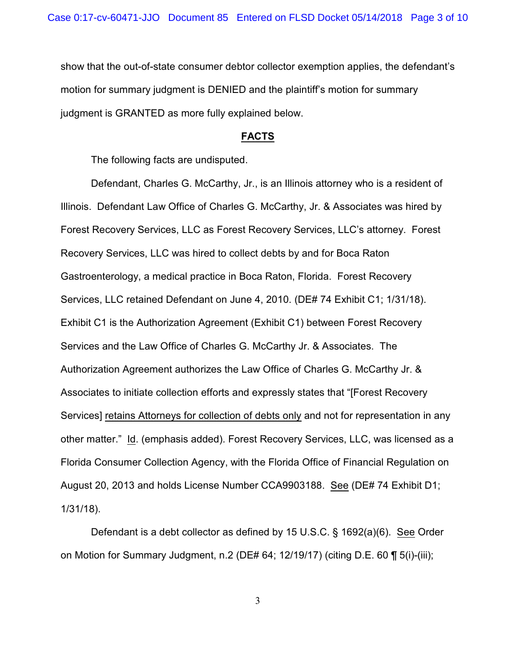show that the out-of-state consumer debtor collector exemption applies, the defendant's motion for summary judgment is DENIED and the plaintiff's motion for summary judgment is GRANTED as more fully explained below.

#### **FACTS**

The following facts are undisputed.

Defendant, Charles G. McCarthy, Jr., is an Illinois attorney who is a resident of Illinois. Defendant Law Office of Charles G. McCarthy, Jr. & Associates was hired by Forest Recovery Services, LLC as Forest Recovery Services, LLC's attorney. Forest Recovery Services, LLC was hired to collect debts by and for Boca Raton Gastroenterology, a medical practice in Boca Raton, Florida. Forest Recovery Services, LLC retained Defendant on June 4, 2010. (DE# 74 Exhibit C1; 1/31/18). Exhibit C1 is the Authorization Agreement (Exhibit C1) between Forest Recovery Services and the Law Office of Charles G. McCarthy Jr. & Associates. The Authorization Agreement authorizes the Law Office of Charles G. McCarthy Jr. & Associates to initiate collection efforts and expressly states that "[Forest Recovery Services] retains Attorneys for collection of debts only and not for representation in any other matter." Id. (emphasis added). Forest Recovery Services, LLC, was licensed as a Florida Consumer Collection Agency, with the Florida Office of Financial Regulation on August 20, 2013 and holds License Number CCA9903188. See (DE# 74 Exhibit D1; 1/31/18).

Defendant is a debt collector as defined by 15 U.S.C. § 1692(a)(6). See Order on Motion for Summary Judgment, n.2 (DE# 64; 12/19/17) (citing D.E. 60 ¶ 5(i)-(iii);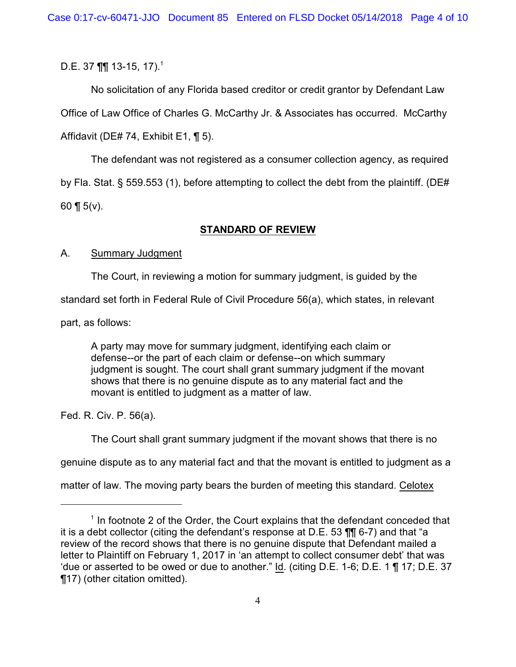D.E. 37  $\P\P$  13-15, 17).<sup>1</sup>

No solicitation of any Florida based creditor or credit grantor by Defendant Law Office of Law Office of Charles G. McCarthy Jr. & Associates has occurred. McCarthy Affidavit (DE# 74, Exhibit E1, ¶ 5).

The defendant was not registered as a consumer collection agency, as required by Fla. Stat. § 559.553 (1), before attempting to collect the debt from the plaintiff. (DE# 60 ¶  $5(v)$ .

# **STANDARD OF REVIEW**

## A. Summary Judgment

The Court, in reviewing a motion for summary judgment, is guided by the

standard set forth in Federal Rule of Civil Procedure 56(a), which states, in relevant

part, as follows:

A party may move for summary judgment, identifying each claim or defense--or the part of each claim or defense--on which summary judgment is sought. The court shall grant summary judgment if the movant shows that there is no genuine dispute as to any material fact and the movant is entitled to judgment as a matter of law.

Fed. R. Civ. P. 56(a).

The Court shall grant summary judgment if the movant shows that there is no

genuine dispute as to any material fact and that the movant is entitled to judgment as a

matter of law. The moving party bears the burden of meeting this standard. Celotex

 $1$  In footnote 2 of the Order, the Court explains that the defendant conceded that it is a debt collector (citing the defendant's response at D.E. 53 ¶¶ 6-7) and that "a review of the record shows that there is no genuine dispute that Defendant mailed a letter to Plaintiff on February 1, 2017 in 'an attempt to collect consumer debt' that was 'due or asserted to be owed or due to another." Id. (citing D.E. 1-6; D.E. 1 ¶ 17; D.E. 37 ¶17) (other citation omitted).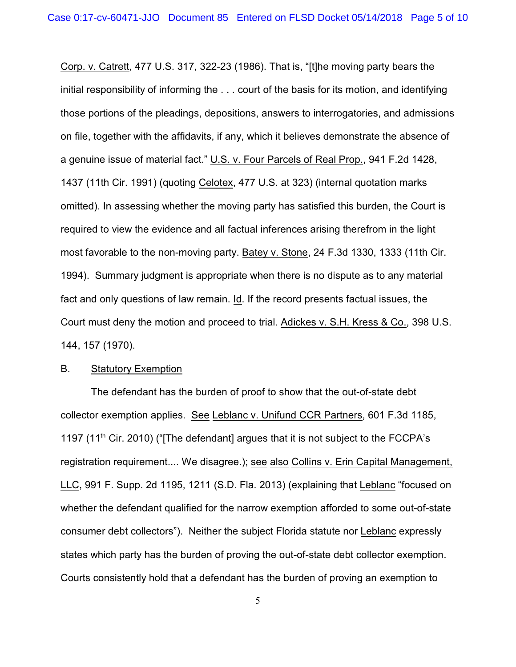Corp. v. Catrett, 477 U.S. 317, 322-23 (1986). That is, "[t]he moving party bears the initial responsibility of informing the . . . court of the basis for its motion, and identifying those portions of the pleadings, depositions, answers to interrogatories, and admissions on file, together with the affidavits, if any, which it believes demonstrate the absence of a genuine issue of material fact." U.S. v. Four Parcels of Real Prop., 941 F.2d 1428, 1437 (11th Cir. 1991) (quoting Celotex, 477 U.S. at 323) (internal quotation marks omitted). In assessing whether the moving party has satisfied this burden, the Court is required to view the evidence and all factual inferences arising therefrom in the light most favorable to the non-moving party. Batey v. Stone, 24 F.3d 1330, 1333 (11th Cir. 1994). Summary judgment is appropriate when there is no dispute as to any material fact and only questions of law remain. Id. If the record presents factual issues, the Court must deny the motion and proceed to trial. Adickes v. S.H. Kress & Co., 398 U.S. 144, 157 (1970).

### B. Statutory Exemption

The defendant has the burden of proof to show that the out-of-state debt collector exemption applies. See Leblanc v. Unifund CCR Partners, 601 F.3d 1185, 1197 (11<sup>th</sup> Cir. 2010) ("[The defendant] argues that it is not subject to the FCCPA's registration requirement.... We disagree.); see also Collins v. Erin Capital Management, LLC, 991 F. Supp. 2d 1195, 1211 (S.D. Fla. 2013) (explaining that Leblanc "focused on whether the defendant qualified for the narrow exemption afforded to some out-of-state consumer debt collectors"). Neither the subject Florida statute nor Leblanc expressly states which party has the burden of proving the out-of-state debt collector exemption. Courts consistently hold that a defendant has the burden of proving an exemption to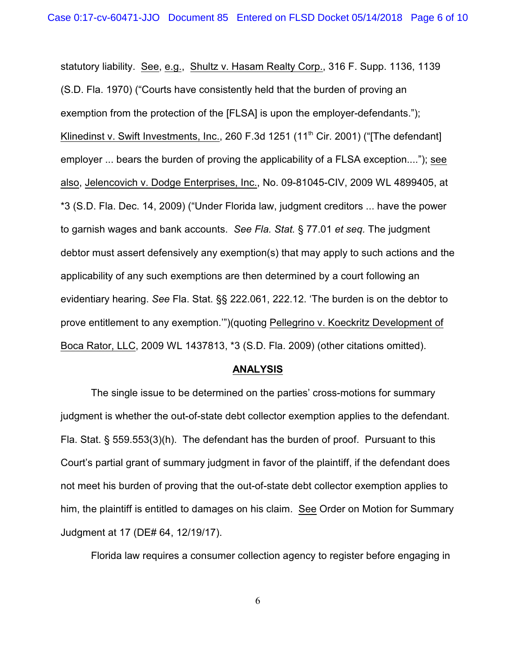statutory liability. See, e.g., Shultz v. Hasam Realty Corp., 316 F. Supp. 1136, 1139 (S.D. Fla. 1970) ("Courts have consistently held that the burden of proving an exemption from the protection of the [FLSA] is upon the employer-defendants."); Klinedinst v. Swift Investments, Inc., 260 F.3d 1251 (11<sup>th</sup> Cir. 2001) ("[The defendant] employer ... bears the burden of proving the applicability of a FLSA exception...."); see also, Jelencovich v. Dodge Enterprises, Inc., No. 09-81045-CIV, 2009 WL 4899405, at \*3 (S.D. Fla. Dec. 14, 2009) ("Under Florida law, judgment creditors ... have the power to garnish wages and bank accounts. *See Fla. Stat.* § 77.01 *et seq.* The judgment debtor must assert defensively any exemption(s) that may apply to such actions and the applicability of any such exemptions are then determined by a court following an evidentiary hearing. *See* Fla. Stat. §§ 222.061, 222.12. 'The burden is on the debtor to prove entitlement to any exemption.'")(quoting Pellegrino v. Koeckritz Development of Boca Rator, LLC, 2009 WL 1437813, \*3 (S.D. Fla. 2009) (other citations omitted).

#### **ANALYSIS**

The single issue to be determined on the parties' cross-motions for summary judgment is whether the out-of-state debt collector exemption applies to the defendant. Fla. Stat. § 559.553(3)(h). The defendant has the burden of proof. Pursuant to this Court's partial grant of summary judgment in favor of the plaintiff, if the defendant does not meet his burden of proving that the out-of-state debt collector exemption applies to him, the plaintiff is entitled to damages on his claim. See Order on Motion for Summary Judgment at 17 (DE# 64, 12/19/17).

Florida law requires a consumer collection agency to register before engaging in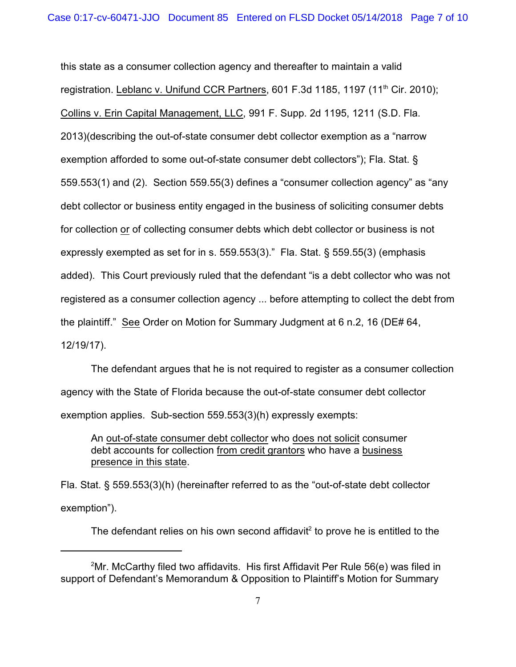this state as a consumer collection agency and thereafter to maintain a valid registration. Leblanc v. Unifund CCR Partners, 601 F.3d 1185, 1197 (11<sup>th</sup> Cir. 2010); Collins v. Erin Capital Management, LLC, 991 F. Supp. 2d 1195, 1211 (S.D. Fla. 2013)(describing the out-of-state consumer debt collector exemption as a "narrow exemption afforded to some out-of-state consumer debt collectors"); Fla. Stat. § 559.553(1) and (2). Section 559.55(3) defines a "consumer collection agency" as "any debt collector or business entity engaged in the business of soliciting consumer debts for collection or of collecting consumer debts which debt collector or business is not expressly exempted as set for in s. 559.553(3)." Fla. Stat. § 559.55(3) (emphasis added). This Court previously ruled that the defendant "is a debt collector who was not registered as a consumer collection agency ... before attempting to collect the debt from the plaintiff." See Order on Motion for Summary Judgment at 6 n.2, 16 (DE# 64, 12/19/17).

The defendant argues that he is not required to register as a consumer collection agency with the State of Florida because the out-of-state consumer debt collector exemption applies. Sub-section 559.553(3)(h) expressly exempts:

An out-of-state consumer debt collector who does not solicit consumer debt accounts for collection from credit grantors who have a business presence in this state.

Fla. Stat. § 559.553(3)(h) (hereinafter referred to as the "out-of-state debt collector exemption").

The defendant relies on his own second affidavit<sup>2</sup> to prove he is entitled to the

 $2\text{Mr}$ . McCarthy filed two affidavits. His first Affidavit Per Rule 56(e) was filed in support of Defendant's Memorandum & Opposition to Plaintiff's Motion for Summary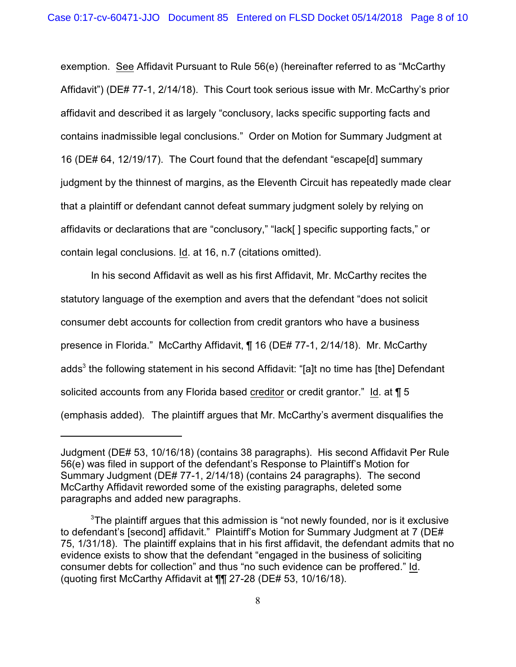exemption. See Affidavit Pursuant to Rule 56(e) (hereinafter referred to as "McCarthy Affidavit") (DE# 77-1, 2/14/18). This Court took serious issue with Mr. McCarthy's prior affidavit and described it as largely "conclusory, lacks specific supporting facts and contains inadmissible legal conclusions." Order on Motion for Summary Judgment at 16 (DE# 64, 12/19/17). The Court found that the defendant "escape[d] summary judgment by the thinnest of margins, as the Eleventh Circuit has repeatedly made clear that a plaintiff or defendant cannot defeat summary judgment solely by relying on affidavits or declarations that are "conclusory," "lack[ ] specific supporting facts," or contain legal conclusions. Id. at 16, n.7 (citations omitted).

In his second Affidavit as well as his first Affidavit, Mr. McCarthy recites the statutory language of the exemption and avers that the defendant "does not solicit consumer debt accounts for collection from credit grantors who have a business presence in Florida." McCarthy Affidavit, ¶ 16 (DE# 77-1, 2/14/18). Mr. McCarthy adds<sup>3</sup> the following statement in his second Affidavit: "[a]t no time has [the] Defendant solicited accounts from any Florida based creditor or credit grantor." Id. at  $\P$  5 (emphasis added). The plaintiff argues that Mr. McCarthy's averment disqualifies the

Judgment (DE# 53, 10/16/18) (contains 38 paragraphs). His second Affidavit Per Rule 56(e) was filed in support of the defendant's Response to Plaintiff's Motion for Summary Judgment (DE# 77-1, 2/14/18) (contains 24 paragraphs). The second McCarthy Affidavit reworded some of the existing paragraphs, deleted some paragraphs and added new paragraphs.

 ${}^{3}$ The plaintiff argues that this admission is "not newly founded, nor is it exclusive to defendant's [second] affidavit." Plaintiff's Motion for Summary Judgment at 7 (DE# 75, 1/31/18). The plaintiff explains that in his first affidavit, the defendant admits that no evidence exists to show that the defendant "engaged in the business of soliciting consumer debts for collection" and thus "no such evidence can be proffered." Id. (quoting first McCarthy Affidavit at ¶¶ 27-28 (DE# 53, 10/16/18).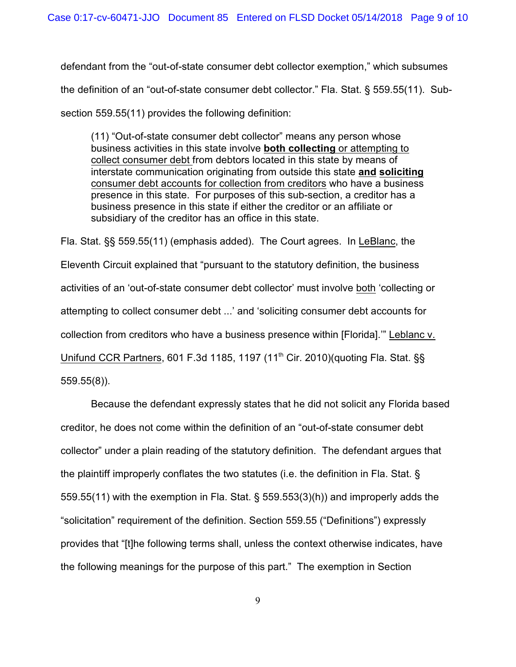defendant from the "out-of-state consumer debt collector exemption," which subsumes the definition of an "out-of-state consumer debt collector." Fla. Stat. § 559.55(11). Subsection 559.55(11) provides the following definition:

(11) "Out-of-state consumer debt collector" means any person whose business activities in this state involve **both collecting** or attempting to collect consumer debt from debtors located in this state by means of interstate communication originating from outside this state **and soliciting** consumer debt accounts for collection from creditors who have a business presence in this state. For purposes of this sub-section, a creditor has a business presence in this state if either the creditor or an affiliate or subsidiary of the creditor has an office in this state.

Fla. Stat. §§ 559.55(11) (emphasis added). The Court agrees. In LeBlanc, the Eleventh Circuit explained that "pursuant to the statutory definition, the business activities of an 'out-of-state consumer debt collector' must involve both 'collecting or attempting to collect consumer debt ...' and 'soliciting consumer debt accounts for collection from creditors who have a business presence within [Florida].'" Leblanc v. Unifund CCR Partners, 601 F.3d 1185, 1197 (11<sup>th</sup> Cir. 2010)(quoting Fla. Stat. §§ 559.55(8)).

Because the defendant expressly states that he did not solicit any Florida based creditor, he does not come within the definition of an "out-of-state consumer debt collector" under a plain reading of the statutory definition. The defendant argues that the plaintiff improperly conflates the two statutes (i.e. the definition in Fla. Stat. § 559.55(11) with the exemption in Fla. Stat. § 559.553(3)(h)) and improperly adds the "solicitation" requirement of the definition. Section 559.55 ("Definitions") expressly provides that "[t]he following terms shall, unless the context otherwise indicates, have the following meanings for the purpose of this part." The exemption in Section